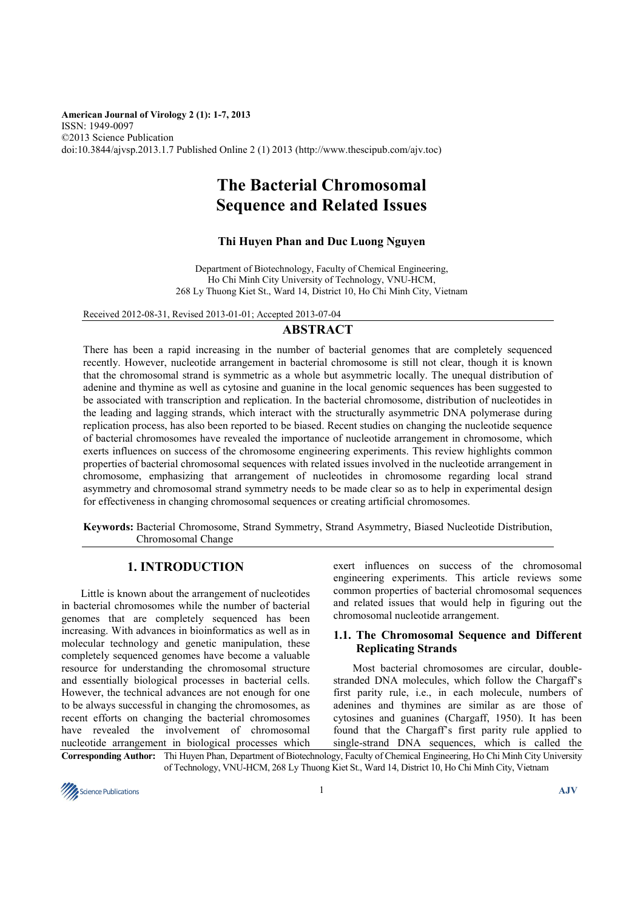**American Journal of Virology 2 (1): 1-7, 2013**  ISSN: 1949-0097 ©2013 Science Publication doi:10.3844/ajvsp.2013.1.7 Published Online 2 (1) 2013 (http://www.thescipub.com/ajv.toc)

# **The Bacterial Chromosomal Sequence and Related Issues**

### **Thi Huyen Phan and Duc Luong Nguyen**

Department of Biotechnology, Faculty of Chemical Engineering, Ho Chi Minh City University of Technology, VNU-HCM, 268 Ly Thuong Kiet St., Ward 14, District 10, Ho Chi Minh City, Vietnam

Received 2012-08-31, Revised 2013-01-01; Accepted 2013-07-04

# **ABSTRACT**

There has been a rapid increasing in the number of bacterial genomes that are completely sequenced recently. However, nucleotide arrangement in bacterial chromosome is still not clear, though it is known that the chromosomal strand is symmetric as a whole but asymmetric locally. The unequal distribution of adenine and thymine as well as cytosine and guanine in the local genomic sequences has been suggested to be associated with transcription and replication. In the bacterial chromosome, distribution of nucleotides in the leading and lagging strands, which interact with the structurally asymmetric DNA polymerase during replication process, has also been reported to be biased. Recent studies on changing the nucleotide sequence of bacterial chromosomes have revealed the importance of nucleotide arrangement in chromosome, which exerts influences on success of the chromosome engineering experiments. This review highlights common properties of bacterial chromosomal sequences with related issues involved in the nucleotide arrangement in chromosome, emphasizing that arrangement of nucleotides in chromosome regarding local strand asymmetry and chromosomal strand symmetry needs to be made clear so as to help in experimental design for effectiveness in changing chromosomal sequences or creating artificial chromosomes.

**Keywords:** Bacterial Chromosome, Strand Symmetry, Strand Asymmetry, Biased Nucleotide Distribution, Chromosomal Change

# **1. INTRODUCTION**

 Little is known about the arrangement of nucleotides in bacterial chromosomes while the number of bacterial genomes that are completely sequenced has been increasing. With advances in bioinformatics as well as in molecular technology and genetic manipulation, these completely sequenced genomes have become a valuable resource for understanding the chromosomal structure and essentially biological processes in bacterial cells. However, the technical advances are not enough for one to be always successful in changing the chromosomes, as recent efforts on changing the bacterial chromosomes have revealed the involvement of chromosomal nucleotide arrangement in biological processes which exert influences on success of the chromosomal engineering experiments. This article reviews some common properties of bacterial chromosomal sequences and related issues that would help in figuring out the chromosomal nucleotide arrangement.

#### **1.1. The Chromosomal Sequence and Different Replicating Strands**

 Most bacterial chromosomes are circular, doublestranded DNA molecules, which follow the Chargaff's first parity rule, i.e., in each molecule, numbers of adenines and thymines are similar as are those of cytosines and guanines (Chargaff, 1950). It has been found that the Chargaff's first parity rule applied to single-strand DNA sequences, which is called the

**Corresponding Author:** Thi Huyen Phan, Department of Biotechnology, Faculty of Chemical Engineering, Ho Chi Minh City University of Technology, VNU-HCM, 268 Ly Thuong Kiet St., Ward 14, District 10, Ho Chi Minh City, Vietnam

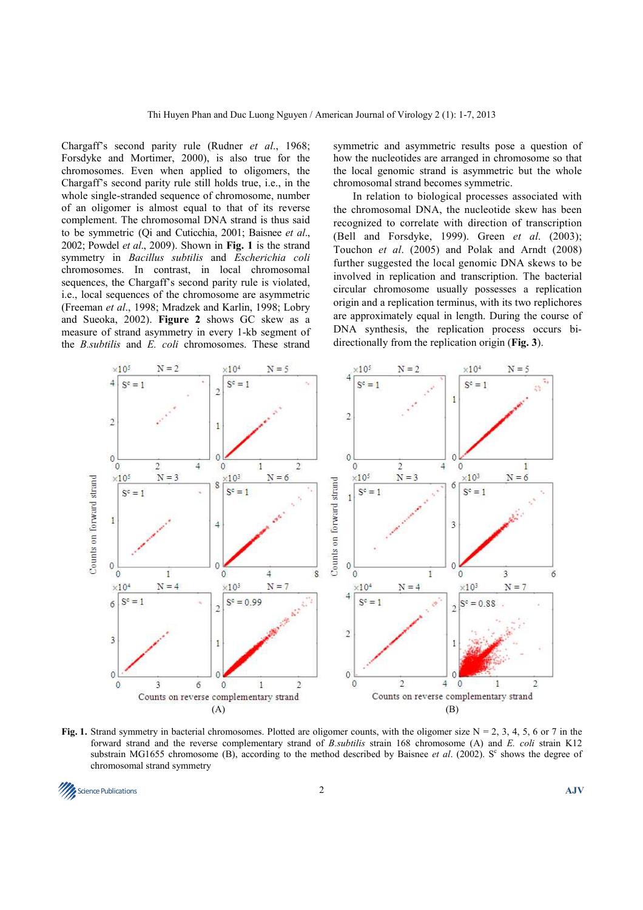Chargaff's second parity rule (Rudner *et al*., 1968; Forsdyke and Mortimer, 2000), is also true for the chromosomes. Even when applied to oligomers, the Chargaff's second parity rule still holds true, i.e., in the whole single-stranded sequence of chromosome, number of an oligomer is almost equal to that of its reverse complement. The chromosomal DNA strand is thus said to be symmetric (Qi and Cuticchia, 2001; Baisnee *et al*., 2002; Powdel *et al*., 2009). Shown in **Fig. 1** is the strand symmetry in *Bacillus subtilis* and *Escherichia coli*  chromosomes. In contrast, in local chromosomal sequences, the Chargaff's second parity rule is violated, i.e., local sequences of the chromosome are asymmetric (Freeman *et al*., 1998; Mradzek and Karlin, 1998; Lobry and Sueoka, 2002). **Figure 2** shows GC skew as a measure of strand asymmetry in every 1-kb segment of the *B.subtilis* and *E. coli* chromosomes. These strand

symmetric and asymmetric results pose a question of how the nucleotides are arranged in chromosome so that the local genomic strand is asymmetric but the whole chromosomal strand becomes symmetric.

 In relation to biological processes associated with the chromosomal DNA, the nucleotide skew has been recognized to correlate with direction of transcription (Bell and Forsdyke, 1999). Green *et al*. (2003); Touchon *et al*. (2005) and Polak and Arndt (2008) further suggested the local genomic DNA skews to be involved in replication and transcription. The bacterial circular chromosome usually possesses a replication origin and a replication terminus, with its two replichores are approximately equal in length. During the course of DNA synthesis, the replication process occurs bidirectionally from the replication origin (**Fig. 3**).



**Fig. 1.** Strand symmetry in bacterial chromosomes. Plotted are oligomer counts, with the oligomer size  $N = 2$ , 3, 4, 5, 6 or 7 in the forward strand and the reverse complementary strand of *B.subtilis* strain 168 chromosome (A) and *E. coli* strain K12 substrain MG1655 chromosome (B), according to the method described by Baisnee *et al.* (2002). S<sup>c</sup> shows the degree of chromosomal strand symmetry

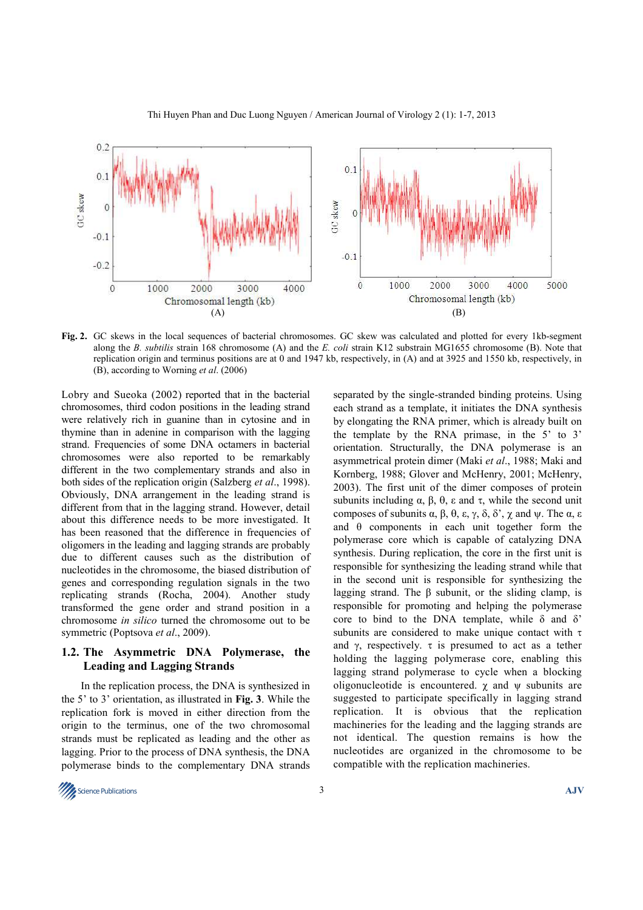

**Fig. 2.** GC skews in the local sequences of bacterial chromosomes. GC skew was calculated and plotted for every 1kb-segment along the *B. subtilis* strain 168 chromosome (A) and the *E. coli* strain K12 substrain MG1655 chromosome (B). Note that replication origin and terminus positions are at 0 and 1947 kb, respectively, in (A) and at 3925 and 1550 kb, respectively, in (B), according to Worning *et al*. (2006)

Lobry and Sueoka (2002) reported that in the bacterial chromosomes, third codon positions in the leading strand were relatively rich in guanine than in cytosine and in thymine than in adenine in comparison with the lagging strand. Frequencies of some DNA octamers in bacterial chromosomes were also reported to be remarkably different in the two complementary strands and also in both sides of the replication origin (Salzberg *et al*., 1998). Obviously, DNA arrangement in the leading strand is different from that in the lagging strand. However, detail about this difference needs to be more investigated. It has been reasoned that the difference in frequencies of oligomers in the leading and lagging strands are probably due to different causes such as the distribution of nucleotides in the chromosome, the biased distribution of genes and corresponding regulation signals in the two replicating strands (Rocha, 2004). Another study transformed the gene order and strand position in a chromosome *in silico* turned the chromosome out to be symmetric (Poptsova *et al*., 2009).

#### **1.2. The Asymmetric DNA Polymerase, the Leading and Lagging Strands**

 In the replication process, the DNA is synthesized in the 5' to 3' orientation, as illustrated in **Fig. 3**. While the replication fork is moved in either direction from the origin to the terminus, one of the two chromosomal strands must be replicated as leading and the other as lagging. Prior to the process of DNA synthesis, the DNA polymerase binds to the complementary DNA strands

separated by the single-stranded binding proteins. Using each strand as a template, it initiates the DNA synthesis by elongating the RNA primer, which is already built on the template by the RNA primase, in the 5' to 3' orientation. Structurally, the DNA polymerase is an asymmetrical protein dimer (Maki *et al*., 1988; Maki and Kornberg, 1988; Glover and McHenry, 2001; McHenry, 2003). The first unit of the dimer composes of protein subunits including  $\alpha$ ,  $\beta$ ,  $\theta$ ,  $\varepsilon$  and  $\tau$ , while the second unit composes of subunits α, β, θ, ε, γ, δ, δ', χ and ψ. The α, ε and  $\theta$  components in each unit together form the polymerase core which is capable of catalyzing DNA synthesis. During replication, the core in the first unit is responsible for synthesizing the leading strand while that in the second unit is responsible for synthesizing the lagging strand. The β subunit, or the sliding clamp, is responsible for promoting and helping the polymerase core to bind to the DNA template, while  $\delta$  and  $\delta$ ' subunits are considered to make unique contact with τ and γ, respectively.  $\tau$  is presumed to act as a tether holding the lagging polymerase core, enabling this lagging strand polymerase to cycle when a blocking oligonucleotide is encountered.  $\gamma$  and  $\psi$  subunits are suggested to participate specifically in lagging strand replication. It is obvious that the replication machineries for the leading and the lagging strands are not identical. The question remains is how the nucleotides are organized in the chromosome to be compatible with the replication machineries.

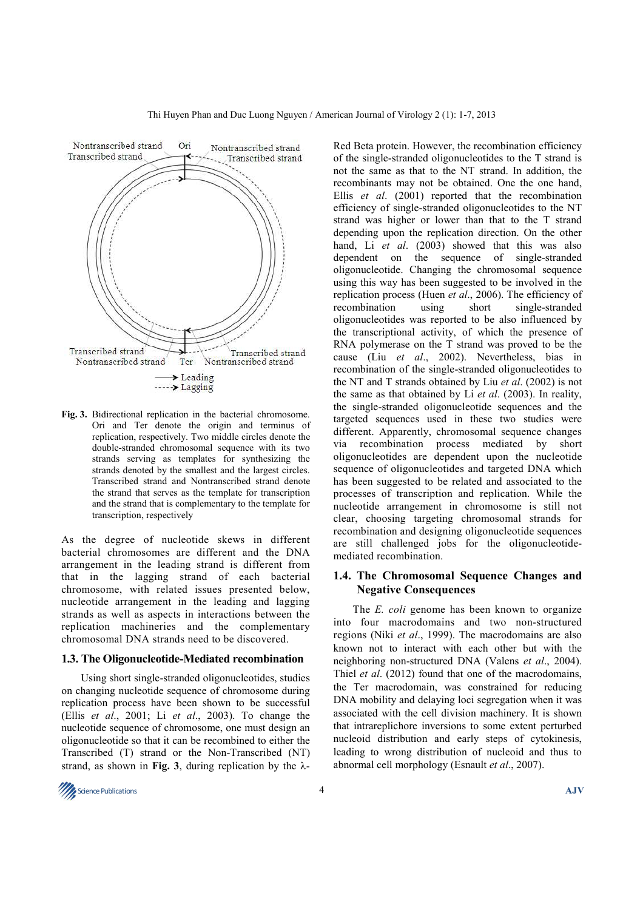

**Fig. 3.** Bidirectional replication in the bacterial chromosome. Ori and Ter denote the origin and terminus of replication, respectively. Two middle circles denote the double-stranded chromosomal sequence with its two strands serving as templates for synthesizing the strands denoted by the smallest and the largest circles. Transcribed strand and Nontranscribed strand denote the strand that serves as the template for transcription and the strand that is complementary to the template for transcription, respectively

As the degree of nucleotide skews in different bacterial chromosomes are different and the DNA arrangement in the leading strand is different from that in the lagging strand of each bacterial chromosome, with related issues presented below, nucleotide arrangement in the leading and lagging strands as well as aspects in interactions between the replication machineries and the complementary chromosomal DNA strands need to be discovered.

#### **1.3. The Oligonucleotide-Mediated recombination**

 Using short single-stranded oligonucleotides, studies on changing nucleotide sequence of chromosome during replication process have been shown to be successful (Ellis *et al*., 2001; Li *et al*., 2003). To change the nucleotide sequence of chromosome, one must design an oligonucleotide so that it can be recombined to either the Transcribed (T) strand or the Non-Transcribed (NT) strand, as shown in **Fig. 3**, during replication by the  $\lambda$ - Red Beta protein. However, the recombination efficiency of the single-stranded oligonucleotides to the T strand is not the same as that to the NT strand. In addition, the recombinants may not be obtained. One the one hand, Ellis *et al*. (2001) reported that the recombination efficiency of single-stranded oligonucleotides to the NT strand was higher or lower than that to the T strand depending upon the replication direction. On the other hand, Li *et al*. (2003) showed that this was also dependent on the sequence of single-stranded oligonucleotide. Changing the chromosomal sequence using this way has been suggested to be involved in the replication process (Huen *et al*., 2006). The efficiency of recombination using short single-stranded oligonucleotides was reported to be also influenced by the transcriptional activity, of which the presence of RNA polymerase on the T strand was proved to be the cause (Liu *et al*., 2002). Nevertheless, bias in recombination of the single-stranded oligonucleotides to the NT and T strands obtained by Liu *et al*. (2002) is not the same as that obtained by Li *et al*. (2003). In reality, the single-stranded oligonucleotide sequences and the targeted sequences used in these two studies were different. Apparently, chromosomal sequence changes via recombination process mediated by short oligonucleotides are dependent upon the nucleotide sequence of oligonucleotides and targeted DNA which has been suggested to be related and associated to the processes of transcription and replication. While the nucleotide arrangement in chromosome is still not clear, choosing targeting chromosomal strands for recombination and designing oligonucleotide sequences are still challenged jobs for the oligonucleotidemediated recombination.

### **1.4. The Chromosomal Sequence Changes and Negative Consequences**

 The *E. coli* genome has been known to organize into four macrodomains and two non-structured regions (Niki *et al*., 1999). The macrodomains are also known not to interact with each other but with the neighboring non-structured DNA (Valens *et al*., 2004). Thiel *et al*. (2012) found that one of the macrodomains, the Ter macrodomain, was constrained for reducing DNA mobility and delaying loci segregation when it was associated with the cell division machinery. It is shown that intrareplichore inversions to some extent perturbed nucleoid distribution and early steps of cytokinesis, leading to wrong distribution of nucleoid and thus to abnormal cell morphology (Esnault *et al*., 2007).

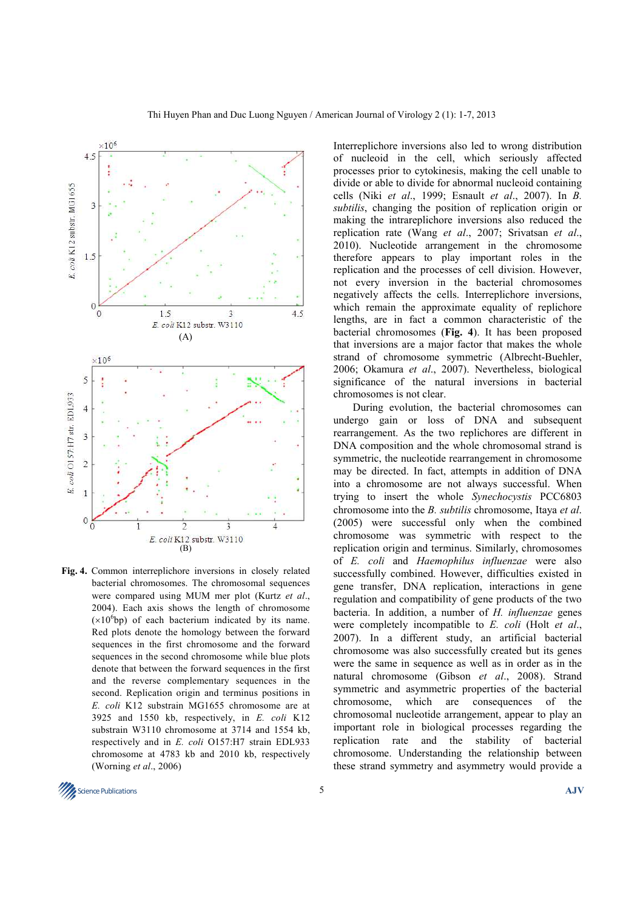

**Fig. 4.** Common interreplichore inversions in closely related bacterial chromosomes. The chromosomal sequences were compared using MUM mer plot (Kurtz *et al*., 2004). Each axis shows the length of chromosome  $(x10<sup>6</sup>bp)$  of each bacterium indicated by its name. Red plots denote the homology between the forward sequences in the first chromosome and the forward sequences in the second chromosome while blue plots denote that between the forward sequences in the first and the reverse complementary sequences in the second. Replication origin and terminus positions in *E. coli* K12 substrain MG1655 chromosome are at 3925 and 1550 kb, respectively, in *E. coli* K12 substrain W3110 chromosome at 3714 and 1554 kb, respectively and in *E. coli* O157:H7 strain EDL933 chromosome at 4783 kb and 2010 kb, respectively (Worning *et al*., 2006)

Interreplichore inversions also led to wrong distribution of nucleoid in the cell, which seriously affected processes prior to cytokinesis, making the cell unable to divide or able to divide for abnormal nucleoid containing cells (Niki *et al*., 1999; Esnault *et al*., 2007). In *B. subtilis*, changing the position of replication origin or making the intrareplichore inversions also reduced the replication rate (Wang *et al*., 2007; Srivatsan *et al*., 2010). Nucleotide arrangement in the chromosome therefore appears to play important roles in the replication and the processes of cell division. However, not every inversion in the bacterial chromosomes negatively affects the cells. Interreplichore inversions, which remain the approximate equality of replichore lengths, are in fact a common characteristic of the bacterial chromosomes (**Fig. 4**). It has been proposed that inversions are a major factor that makes the whole strand of chromosome symmetric (Albrecht-Buehler, 2006; Okamura *et al*., 2007). Nevertheless, biological significance of the natural inversions in bacterial chromosomes is not clear.

 During evolution, the bacterial chromosomes can undergo gain or loss of DNA and subsequent rearrangement. As the two replichores are different in DNA composition and the whole chromosomal strand is symmetric, the nucleotide rearrangement in chromosome may be directed. In fact, attempts in addition of DNA into a chromosome are not always successful. When trying to insert the whole *Synechocystis* PCC6803 chromosome into the *B. subtilis* chromosome, Itaya *et al*. (2005) were successful only when the combined chromosome was symmetric with respect to the replication origin and terminus. Similarly, chromosomes of *E. coli* and *Haemophilus influenzae* were also successfully combined. However, difficulties existed in gene transfer, DNA replication, interactions in gene regulation and compatibility of gene products of the two bacteria. In addition, a number of *H. influenzae* genes were completely incompatible to *E. coli* (Holt *et al*., 2007). In a different study, an artificial bacterial chromosome was also successfully created but its genes were the same in sequence as well as in order as in the natural chromosome (Gibson *et al*., 2008). Strand symmetric and asymmetric properties of the bacterial chromosome, which are consequences of the chromosomal nucleotide arrangement, appear to play an important role in biological processes regarding the replication rate and the stability of bacterial chromosome. Understanding the relationship between these strand symmetry and asymmetry would provide a

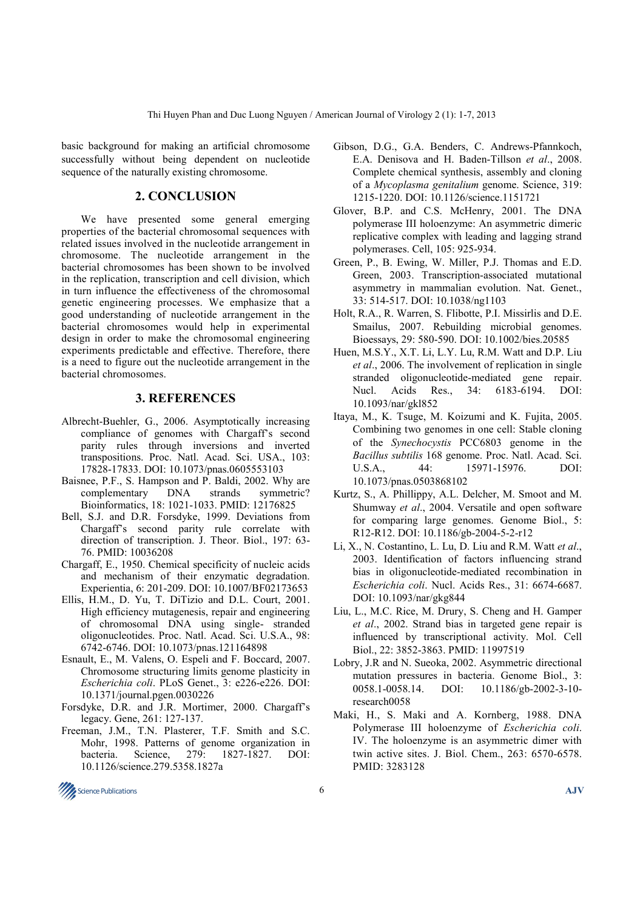basic background for making an artificial chromosome successfully without being dependent on nucleotide sequence of the naturally existing chromosome.

### **2. CONCLUSION**

We have presented some general emerging properties of the bacterial chromosomal sequences with related issues involved in the nucleotide arrangement in chromosome. The nucleotide arrangement in the bacterial chromosomes has been shown to be involved in the replication, transcription and cell division, which in turn influence the effectiveness of the chromosomal genetic engineering processes. We emphasize that a good understanding of nucleotide arrangement in the bacterial chromosomes would help in experimental design in order to make the chromosomal engineering experiments predictable and effective. Therefore, there is a need to figure out the nucleotide arrangement in the bacterial chromosomes.

# **3. REFERENCES**

- Albrecht-Buehler, G., 2006. Asymptotically increasing compliance of genomes with Chargaff's second parity rules through inversions and inverted transpositions. Proc. Natl. Acad. Sci. USA., 103: 17828-17833. DOI: 10.1073/pnas.0605553103
- Baisnee, P.F., S. Hampson and P. Baldi, 2002. Why are complementary DNA strands symmetric? Bioinformatics, 18: 1021-1033. PMID: 12176825
- Bell, S.J. and D.R. Forsdyke, 1999. Deviations from Chargaff's second parity rule correlate with direction of transcription. J. Theor. Biol., 197: 63- 76. PMID: 10036208
- Chargaff, E., 1950. Chemical specificity of nucleic acids and mechanism of their enzymatic degradation. Experientia, 6: 201-209. DOI: 10.1007/BF02173653
- Ellis, H.M., D. Yu, T. DiTizio and D.L. Court, 2001. High efficiency mutagenesis, repair and engineering of chromosomal DNA using single- stranded oligonucleotides. Proc. Natl. Acad. Sci. U.S.A., 98: 6742-6746. DOI: 10.1073/pnas.121164898
- Esnault, E., M. Valens, O. Espeli and F. Boccard, 2007. Chromosome structuring limits genome plasticity in *Escherichia coli*. PLoS Genet., 3: e226-e226. DOI: 10.1371/journal.pgen.0030226
- Forsdyke, D.R. and J.R. Mortimer, 2000. Chargaff's legacy. Gene, 261: 127-137.
- Freeman, J.M., T.N. Plasterer, T.F. Smith and S.C. Mohr, 1998. Patterns of genome organization in bacteria. Science, 279: 1827-1827. DOI: 10.1126/science.279.5358.1827a
- Gibson, D.G., G.A. Benders, C. Andrews-Pfannkoch, E.A. Denisova and H. Baden-Tillson *et al*., 2008. Complete chemical synthesis, assembly and cloning of a *Mycoplasma genitalium* genome. Science, 319: 1215-1220. DOI: 10.1126/science.1151721
- Glover, B.P. and C.S. McHenry, 2001. The DNA polymerase III holoenzyme: An asymmetric dimeric replicative complex with leading and lagging strand polymerases. Cell, 105: 925-934.
- Green, P., B. Ewing, W. Miller, P.J. Thomas and E.D. Green, 2003. Transcription-associated mutational asymmetry in mammalian evolution. Nat. Genet., 33: 514-517. DOI: 10.1038/ng1103
- Holt, R.A., R. Warren, S. Flibotte, P.I. Missirlis and D.E. Smailus, 2007. Rebuilding microbial genomes. Bioessays, 29: 580-590. DOI: 10.1002/bies.20585
- Huen, M.S.Y., X.T. Li, L.Y. Lu, R.M. Watt and D.P. Liu *et al*., 2006. The involvement of replication in single stranded oligonucleotide-mediated gene repair. Nucl. Acids Res., 34: 6183-6194. DOI: 10.1093/nar/gkl852
- Itaya, M., K. Tsuge, M. Koizumi and K. Fujita, 2005. Combining two genomes in one cell: Stable cloning of the *Synechocystis* PCC6803 genome in the *Bacillus subtilis* 168 genome. Proc. Natl. Acad. Sci. U.S.A., 44: 15971-15976. DOI: 10.1073/pnas.0503868102
- Kurtz, S., A. Phillippy, A.L. Delcher, M. Smoot and M. Shumway *et al*., 2004. Versatile and open software for comparing large genomes. Genome Biol., 5: R12-R12. DOI: 10.1186/gb-2004-5-2-r12
- Li, X., N. Costantino, L. Lu, D. Liu and R.M. Watt *et al*., 2003. Identification of factors influencing strand bias in oligonucleotide-mediated recombination in *Escherichia coli*. Nucl. Acids Res., 31: 6674-6687. DOI: 10.1093/nar/gkg844
- Liu, L., M.C. Rice, M. Drury, S. Cheng and H. Gamper *et al*., 2002. Strand bias in targeted gene repair is influenced by transcriptional activity. Mol. Cell Biol., 22: 3852-3863. PMID: 11997519
- Lobry, J.R and N. Sueoka, 2002. Asymmetric directional mutation pressures in bacteria. Genome Biol., 3: 0058.1-0058.14. DOI: 10.1186/gb-2002-3-10research0058
- Maki, H., S. Maki and A. Kornberg, 1988. DNA Polymerase III holoenzyme of *Escherichia coli*. IV. The holoenzyme is an asymmetric dimer with twin active sites. J. Biol. Chem., 263: 6570-6578. PMID: 3283128